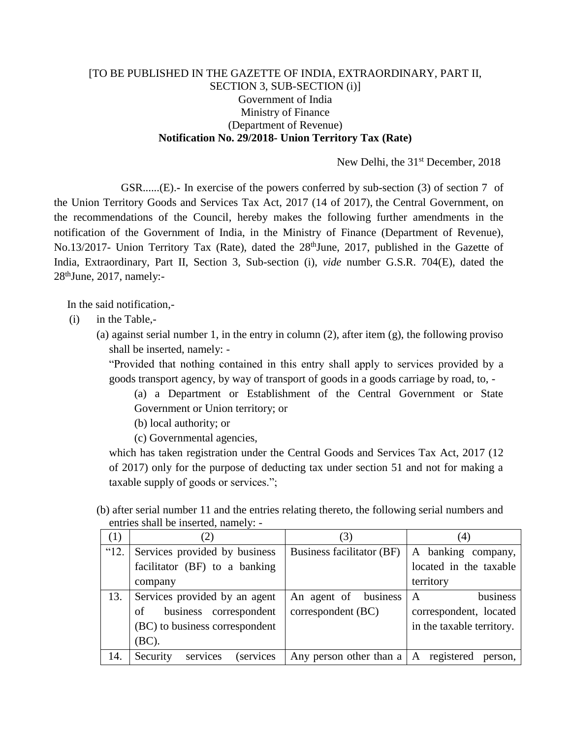## [TO BE PUBLISHED IN THE GAZETTE OF INDIA, EXTRAORDINARY, PART II, SECTION 3, SUB-SECTION (i)] Government of India Ministry of Finance (Department of Revenue) **Notification No. 29/2018- Union Territory Tax (Rate)**

New Delhi, the 31<sup>st</sup> December, 2018

GSR......(E).**-** In exercise of the powers conferred by sub-section (3) of section 7 of the Union Territory Goods and Services Tax Act, 2017 (14 of 2017), the Central Government, on the recommendations of the Council, hereby makes the following further amendments in the notification of the Government of India, in the Ministry of Finance (Department of Revenue), No.13/2017- Union Territory Tax (Rate), dated the 28<sup>th</sup>June, 2017, published in the Gazette of India, Extraordinary, Part II, Section 3, Sub-section (i), *vide* number G.S.R. 704(E), dated the 28thJune, 2017, namely:-

In the said notification,-

(i) in the Table,-

(a) against serial number 1, in the entry in column  $(2)$ , after item  $(g)$ , the following proviso shall be inserted, namely: -

"Provided that nothing contained in this entry shall apply to services provided by a goods transport agency, by way of transport of goods in a goods carriage by road, to, -

(a) a Department or Establishment of the Central Government or State Government or Union territory; or

(b) local authority; or

(c) Governmental agencies,

which has taken registration under the Central Goods and Services Tax Act, 2017 (12 of 2017) only for the purpose of deducting tax under section 51 and not for making a taxable supply of goods or services.";

(b) after serial number 11 and the entries relating thereto, the following serial numbers and entries shall be inserted, namely: -

| (1)  | (2)                                       | (3)                                         | (4)                       |
|------|-------------------------------------------|---------------------------------------------|---------------------------|
| "12. | Services provided by business             | Business facilitator (BF)                   | A banking company,        |
|      | facilitator (BF) to a banking             |                                             | located in the taxable    |
|      | company                                   |                                             | territory                 |
| 13.  | Services provided by an agent             | An agent of business                        | business<br>$\mathbf{A}$  |
|      | business correspondent<br>of              | correspondent (BC)                          | correspondent, located    |
|      | (BC) to business correspondent            |                                             | in the taxable territory. |
|      | (BC).                                     |                                             |                           |
| 14.  | services<br><i>(services)</i><br>Security | Any person other than $a \mid A$ registered | person,                   |